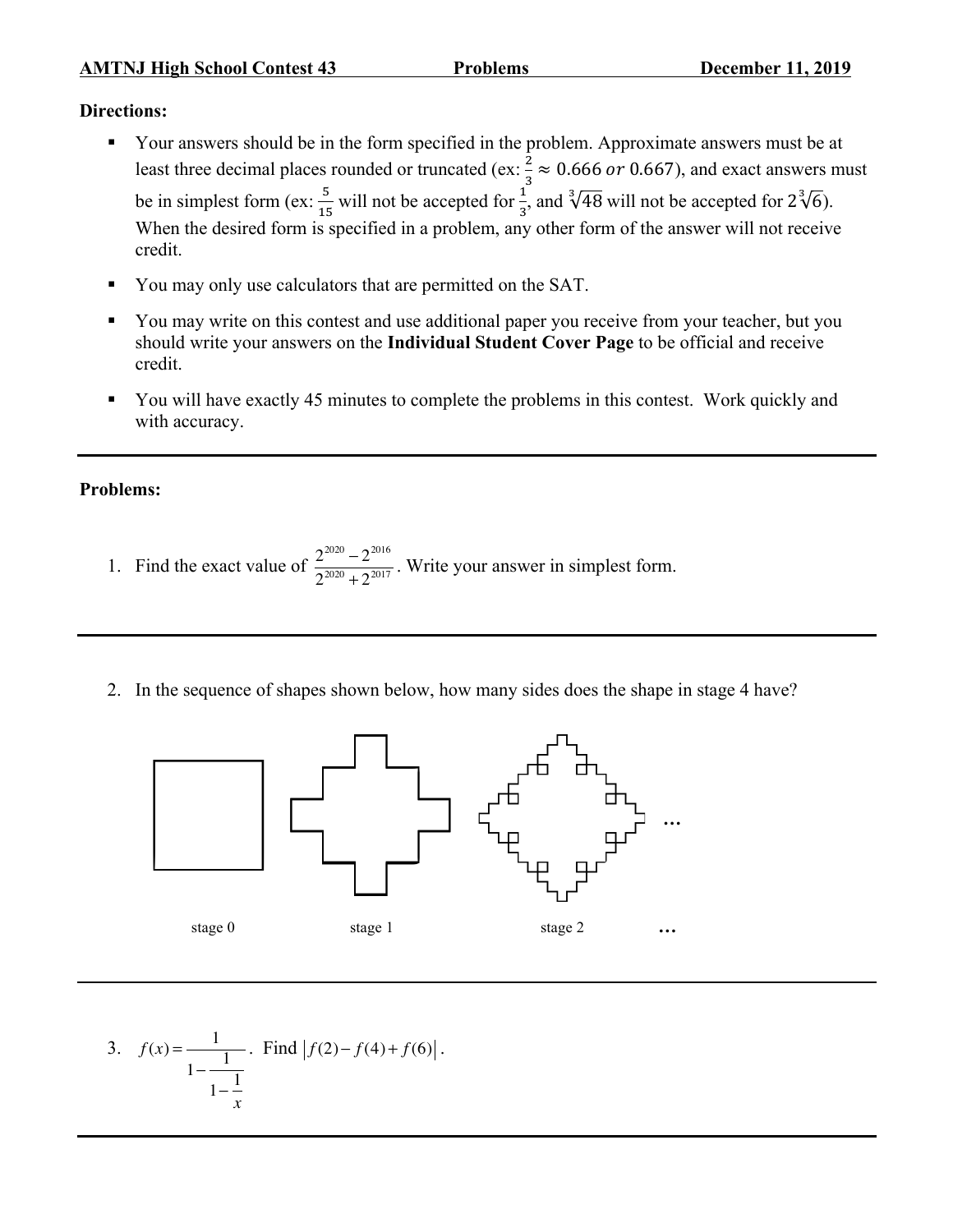## **Directions:**

- § Your answers should be in the form specified in the problem. Approximate answers must be at least three decimal places rounded or truncated (ex:  $\frac{2}{3} \approx 0.666$  or 0.667), and exact answers must be in simplest form (ex:  $\frac{5}{15}$  will not be accepted for  $\frac{1}{3}$ , and  $\sqrt[3]{48}$  will not be accepted for  $2\sqrt[3]{6}$ ). When the desired form is specified in a problem, any other form of the answer will not receive credit.
- § You may only use calculators that are permitted on the SAT.
- You may write on this contest and use additional paper you receive from your teacher, but you should write your answers on the **Individual Student Cover Page** to be official and receive credit.
- § You will have exactly 45 minutes to complete the problems in this contest. Work quickly and with accuracy.

## **Problems:**

- 1. Find the exact value of  $\frac{2^{2020} 2^{2016}}{2^{2020} + 2^{2017}}$ . Write your answer in simplest form.
- 2. In the sequence of shapes shown below, how many sides does the shape in stage 4 have?



3. 
$$
f(x) = \frac{1}{1 - \frac{1}{1 - \frac{1}{x}}}
$$
. Find  $|f(2) - f(4) + f(6)|$ .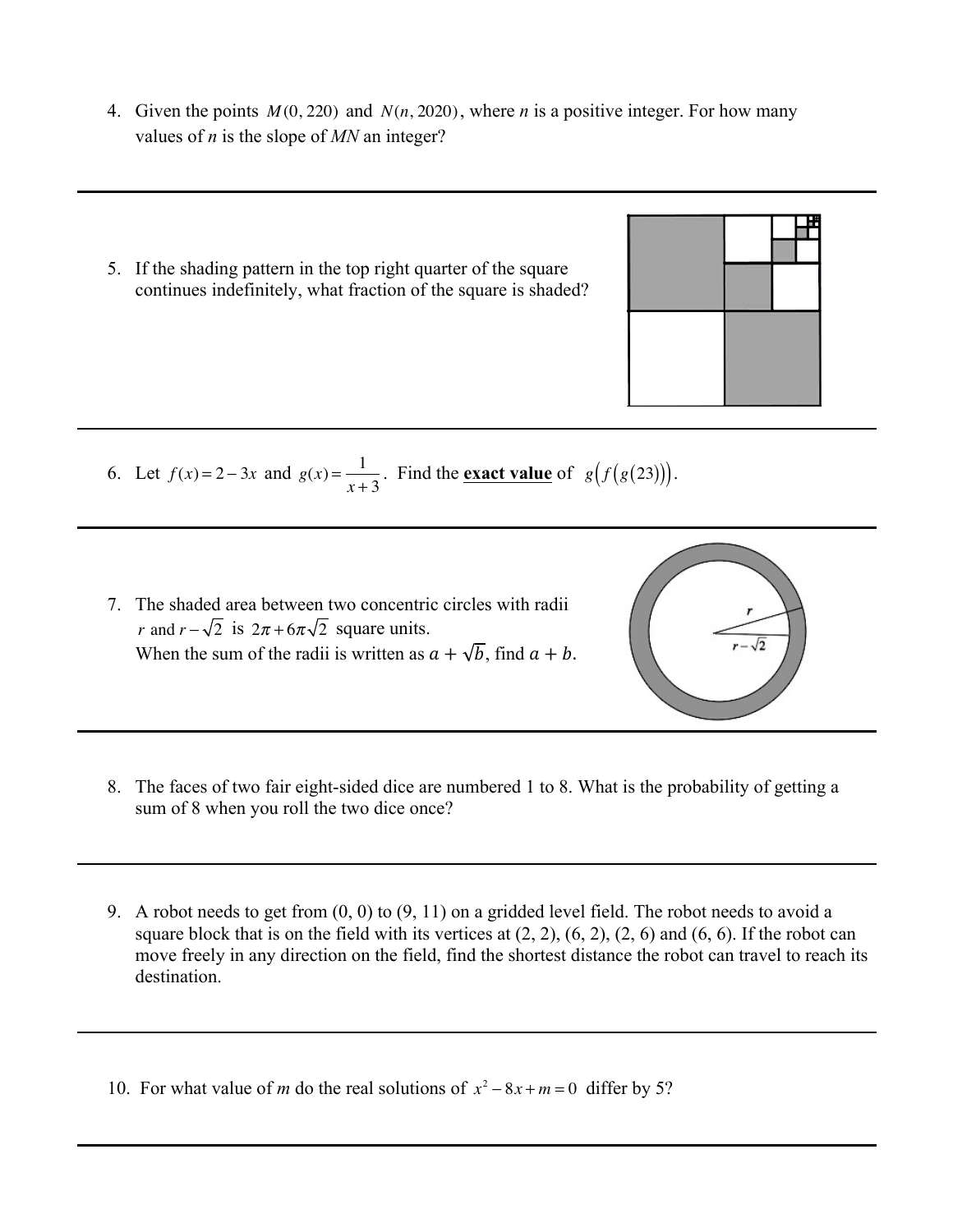- 4. Given the points *M* (0, 220) and *N*(*n*, 2020), where *n* is a positive integer. For how many values of *n* is the slope of *MN* an integer?
- 5. If the shading pattern in the top right quarter of the square continues indefinitely, what fraction of the square is shaded?

- 6. Let  $f(x) = 2 3x$  and  $g(x) = \frac{1}{x}$  $\frac{1}{x+3}$ . Find the <u>exact value</u> of *g*(*f*(*g*(23))).
- 7. The shaded area between two concentric circles with radii *r* and  $r - \sqrt{2}$  is  $2\pi + 6\pi\sqrt{2}$  square units. When the sum of the radii is written as  $a + \sqrt{b}$ , find  $a + b$ .
- 8. The faces of two fair eight-sided dice are numbered 1 to 8. What is the probability of getting a sum of 8 when you roll the two dice once?
- 9. A robot needs to get from (0, 0) to (9, 11) on a gridded level field. The robot needs to avoid a square block that is on the field with its vertices at  $(2, 2)$ ,  $(6, 2)$ ,  $(2, 6)$  and  $(6, 6)$ . If the robot can move freely in any direction on the field, find the shortest distance the robot can travel to reach its destination.

10. For what value of *m* do the real solutions of  $x^2 - 8x + m = 0$  differ by 5?



 $\sqrt{2}$